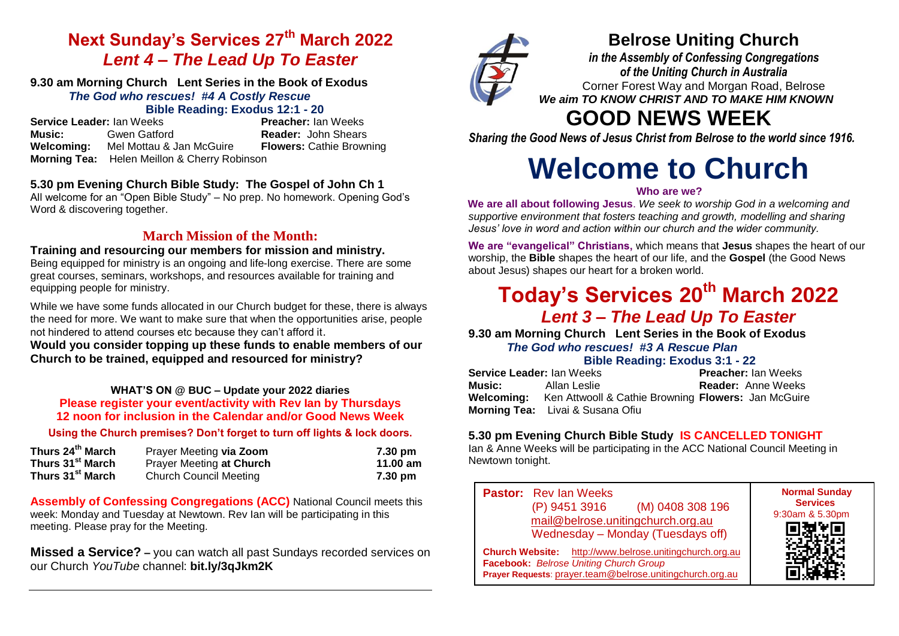# **Next Sunday's Services 27 th March 2022** *Lent 4 – The Lead Up To Easter*

### **9.30 am Morning Church Lent Series in the Book of Exodus** *The God who rescues!**#4 A Costly Rescue*

# **Bible Reading: Exodus 12:1 - 20**

**Service Leader:** Ian Weeks **Music:** Gwen Gatford **Reader:** John Shears **Welcoming:** Mel Mottau & Jan McGuire **Flowers:** Cathie Browning **Morning Tea:** Helen Meillon & Cherry Robinson

# **5.30 pm Evening Church Bible Study: The Gospel of John Ch 1**

All welcome for an "Open Bible Study" – No prep. No homework. Opening God's Word & discovering together.

# **March Mission of the Month:**

## **Training and resourcing our members for mission and ministry.**

Being equipped for ministry is an ongoing and life-long exercise. There are some great courses, seminars, workshops, and resources available for training and equipping people for ministry.

While we have some funds allocated in our Church budget for these, there is always the need for more. We want to make sure that when the opportunities arise, people not hindered to attend courses etc because they can't afford it.

**Would you consider topping up these funds to enable members of our Church to be trained, equipped and resourced for ministry?**

## **WHAT'S ON @ BUC – Update your 2022 diaries Please register your event/activity with Rev Ian by Thursdays 12 noon for inclusion in the Calendar and/or Good News Week**

### **Using the Church premises? Don't forget to turn off lights & lock doors.**

| Thurs 24 <sup>th</sup> March | Praver Meeting via Zoom       | 7.30 pm  |
|------------------------------|-------------------------------|----------|
| Thurs 31 <sup>st</sup> March | Prayer Meeting at Church      | 11.00 am |
| Thurs 31 <sup>st</sup> March | <b>Church Council Meeting</b> | 7.30 pm  |

**Assembly of Confessing Congregations (ACC)** National Council meets this week: Monday and Tuesday at Newtown. Rev Ian will be participating in this meeting. Please pray for the Meeting.

**Missed a Service? –** you can watch all past Sundays recorded services on our Church *YouTube* channel: **bit.ly/3qJkm2K**



# **Belrose Uniting Church**

*in the Assembly of Confessing Congregations of the Uniting Church in Australia* Corner Forest Way and Morgan Road, Belrose *We aim TO KNOW CHRIST AND TO MAKE HIM KNOWN*

# **GOOD NEWS WEEK**

*Sharing the Good News of Jesus Christ from Belrose to the world since 1916.*

# **Welcome to Church**

### **Who are we?**

**We are all about following Jesus**. *We seek to worship God in a welcoming and supportive environment that fosters teaching and growth, modelling and sharing Jesus' love in word and action within our church and the wider community.*

**We are "evangelical" Christians,** which means that **Jesus** shapes the heart of our worship, the **Bible** shapes the heart of our life, and the **Gospel** (the Good News about Jesus) shapes our heart for a broken world.

# **Today's Services 20th March 2022**  *Lent 3 – The Lead Up To Easter*

**9.30 am Morning Church Lent Series in the Book of Exodus** *The God who rescues!**#3 A Rescue Plan* **Bible Reading: Exodus 3:1 - 22**

| Service Leader: Ian Weeks |                                                     | <b>Preacher: Ian Weeks</b> |
|---------------------------|-----------------------------------------------------|----------------------------|
| Music:                    | Allan Leslie                                        | <b>Reader:</b> Anne Weeks  |
| Welcoming:                | Ken Attwooll & Cathie Browning Flowers: Jan McGuire |                            |
|                           | <b>Morning Tea:</b> Livai & Susana Ofiu             |                            |

# **5.30 pm Evening Church Bible Study IS CANCELLED TONIGHT**

Ian & Anne Weeks will be participating in the ACC National Council Meeting in Newtown tonight.